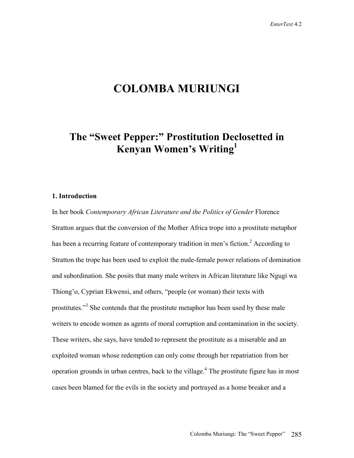# **COLOMBA MURIUNGI**

# **The "Sweet Pepper:" Prostitution Declosetted in Kenyan Women's Writing1**

## **1. Introduction**

In her book *Contemporary African Literature and the Politics of Gender* Florence Stratton argues that the conversion of the Mother Africa trope into a prostitute metaphor has been a recurring feature of contemporary tradition in men's fiction.<sup>2</sup> According to Stratton the trope has been used to exploit the male-female power relations of domination and subordination. She posits that many male writers in African literature like Ngugi wa Thiong'o, Cyprian Ekwensi, and others, "people (or woman) their texts with prostitutes."<sup>3</sup> She contends that the prostitute metaphor has been used by these male writers to encode women as agents of moral corruption and contamination in the society. These writers, she says, have tended to represent the prostitute as a miserable and an exploited woman whose redemption can only come through her repatriation from her operation grounds in urban centres, back to the village.<sup>4</sup> The prostitute figure has in most cases been blamed for the evils in the society and portrayed as a home breaker and a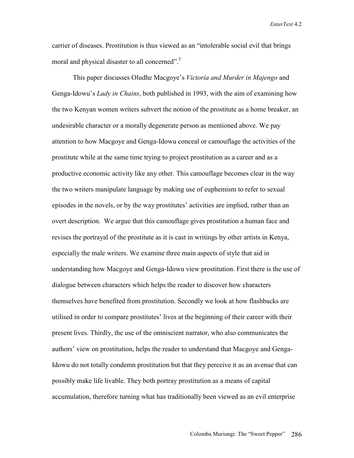carrier of diseases. Prostitution is thus viewed as an "intolerable social evil that brings moral and physical disaster to all concerned".<sup>5</sup>

This paper discusses Oludhe Macgoye's *Victoria and Murder in Majengo* and Genga-Idowu's *Lady in Chains*, both published in 1993, with the aim of examining how the two Kenyan women writers subvert the notion of the prostitute as a home breaker, an undesirable character or a morally degenerate person as mentioned above. We pay attention to how Macgoye and Genga-Idowu conceal or camouflage the activities of the prostitute while at the same time trying to project prostitution as a career and as a productive economic activity like any other. This camouflage becomes clear in the way the two writers manipulate language by making use of euphemism to refer to sexual episodes in the novels, or by the way prostitutes' activities are implied, rather than an overt description. We argue that this camouflage gives prostitution a human face and revises the portrayal of the prostitute as it is cast in writings by other artists in Kenya, especially the male writers. We examine three main aspects of style that aid in understanding how Macgoye and Genga-Idowu view prostitution. First there is the use of dialogue between characters which helps the reader to discover how characters themselves have benefited from prostitution. Secondly we look at how flashbacks are utilised in order to compare prostitutes' lives at the beginning of their career with their present lives. Thirdly, the use of the omniscient narrator, who also communicates the authors' view on prostitution, helps the reader to understand that Macgoye and Genga-Idowu do not totally condemn prostitution but that they perceive it as an avenue that can possibly make life livable. They both portray prostitution as a means of capital accumulation, therefore turning what has traditionally been viewed as an evil enterprise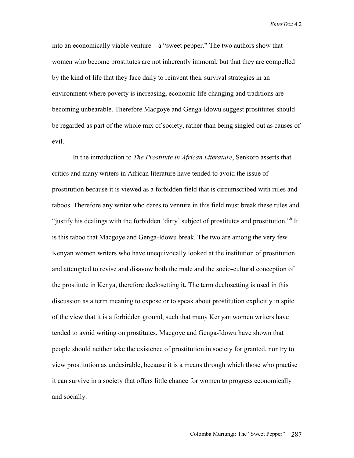into an economically viable venture—a "sweet pepper." The two authors show that women who become prostitutes are not inherently immoral, but that they are compelled by the kind of life that they face daily to reinvent their survival strategies in an environment where poverty is increasing, economic life changing and traditions are becoming unbearable. Therefore Macgoye and Genga-Idowu suggest prostitutes should be regarded as part of the whole mix of society, rather than being singled out as causes of evil.

In the introduction to *The Prostitute in African Literature*, Senkoro asserts that critics and many writers in African literature have tended to avoid the issue of prostitution because it is viewed as a forbidden field that is circumscribed with rules and taboos. Therefore any writer who dares to venture in this field must break these rules and "justify his dealings with the forbidden 'dirty' subject of prostitutes and prostitution."<sup>6</sup> It is this taboo that Macgoye and Genga-Idowu break. The two are among the very few Kenyan women writers who have unequivocally looked at the institution of prostitution and attempted to revise and disavow both the male and the socio-cultural conception of the prostitute in Kenya, therefore declosetting it. The term declosetting is used in this discussion as a term meaning to expose or to speak about prostitution explicitly in spite of the view that it is a forbidden ground, such that many Kenyan women writers have tended to avoid writing on prostitutes. Macgoye and Genga-Idowu have shown that people should neither take the existence of prostitution in society for granted, nor try to view prostitution as undesirable, because it is a means through which those who practise it can survive in a society that offers little chance for women to progress economically and socially.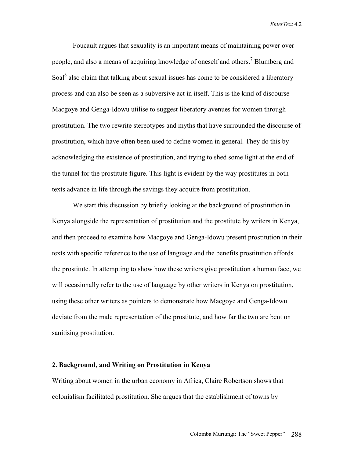Foucault argues that sexuality is an important means of maintaining power over people, and also a means of acquiring knowledge of oneself and others.<sup>7</sup> Blumberg and Soal<sup>8</sup> also claim that talking about sexual issues has come to be considered a liberatory process and can also be seen as a subversive act in itself. This is the kind of discourse Macgoye and Genga-Idowu utilise to suggest liberatory avenues for women through prostitution. The two rewrite stereotypes and myths that have surrounded the discourse of prostitution, which have often been used to define women in general. They do this by acknowledging the existence of prostitution, and trying to shed some light at the end of the tunnel for the prostitute figure. This light is evident by the way prostitutes in both texts advance in life through the savings they acquire from prostitution.

We start this discussion by briefly looking at the background of prostitution in Kenya alongside the representation of prostitution and the prostitute by writers in Kenya, and then proceed to examine how Macgoye and Genga-Idowu present prostitution in their texts with specific reference to the use of language and the benefits prostitution affords the prostitute. In attempting to show how these writers give prostitution a human face, we will occasionally refer to the use of language by other writers in Kenya on prostitution, using these other writers as pointers to demonstrate how Macgoye and Genga-Idowu deviate from the male representation of the prostitute, and how far the two are bent on sanitising prostitution.

### **2. Background, and Writing on Prostitution in Kenya**

Writing about women in the urban economy in Africa, Claire Robertson shows that colonialism facilitated prostitution. She argues that the establishment of towns by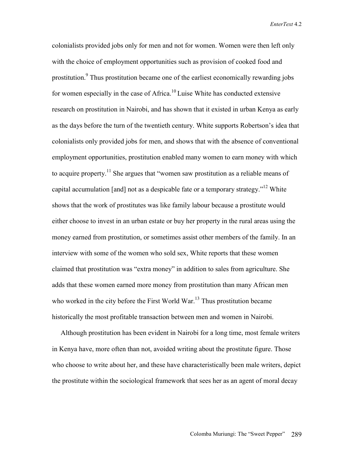colonialists provided jobs only for men and not for women. Women were then left only with the choice of employment opportunities such as provision of cooked food and prostitution.<sup>9</sup> Thus prostitution became one of the earliest economically rewarding jobs for women especially in the case of Africa.<sup>10</sup> Luise White has conducted extensive research on prostitution in Nairobi, and has shown that it existed in urban Kenya as early as the days before the turn of the twentieth century. White supports Robertson's idea that colonialists only provided jobs for men, and shows that with the absence of conventional employment opportunities, prostitution enabled many women to earn money with which to acquire property.<sup>11</sup> She argues that "women saw prostitution as a reliable means of capital accumulation [and] not as a despicable fate or a temporary strategy."12 White shows that the work of prostitutes was like family labour because a prostitute would either choose to invest in an urban estate or buy her property in the rural areas using the money earned from prostitution, or sometimes assist other members of the family. In an interview with some of the women who sold sex, White reports that these women claimed that prostitution was "extra money" in addition to sales from agriculture. She adds that these women earned more money from prostitution than many African men who worked in the city before the First World War.<sup>13</sup> Thus prostitution became historically the most profitable transaction between men and women in Nairobi.

 Although prostitution has been evident in Nairobi for a long time, most female writers in Kenya have, more often than not, avoided writing about the prostitute figure. Those who choose to write about her, and these have characteristically been male writers, depict the prostitute within the sociological framework that sees her as an agent of moral decay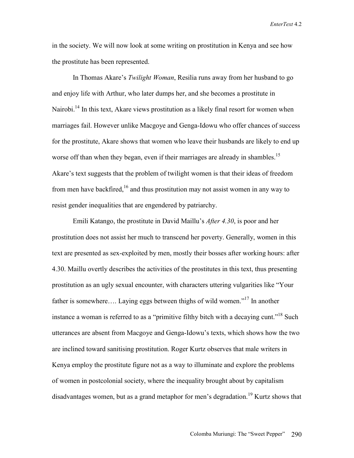in the society. We will now look at some writing on prostitution in Kenya and see how the prostitute has been represented.

In Thomas Akare's *Twilight Woman*, Resilia runs away from her husband to go and enjoy life with Arthur, who later dumps her, and she becomes a prostitute in Nairobi.<sup>14</sup> In this text, Akare views prostitution as a likely final resort for women when marriages fail. However unlike Macgoye and Genga-Idowu who offer chances of success for the prostitute, Akare shows that women who leave their husbands are likely to end up worse off than when they began, even if their marriages are already in shambles.<sup>15</sup> Akare's text suggests that the problem of twilight women is that their ideas of freedom from men have backfired,  $16$  and thus prostitution may not assist women in any way to resist gender inequalities that are engendered by patriarchy.

Emili Katango, the prostitute in David Maillu's *After 4.30*, is poor and her prostitution does not assist her much to transcend her poverty. Generally, women in this text are presented as sex-exploited by men, mostly their bosses after working hours: after 4.30. Maillu overtly describes the activities of the prostitutes in this text, thus presenting prostitution as an ugly sexual encounter, with characters uttering vulgarities like "Your father is somewhere…. Laying eggs between thighs of wild women."17 In another instance a woman is referred to as a "primitive filthy bitch with a decaying cunt."<sup>18</sup> Such utterances are absent from Macgoye and Genga-Idowu's texts, which shows how the two are inclined toward sanitising prostitution. Roger Kurtz observes that male writers in Kenya employ the prostitute figure not as a way to illuminate and explore the problems of women in postcolonial society, where the inequality brought about by capitalism disadvantages women, but as a grand metaphor for men's degradation.<sup>19</sup> Kurtz shows that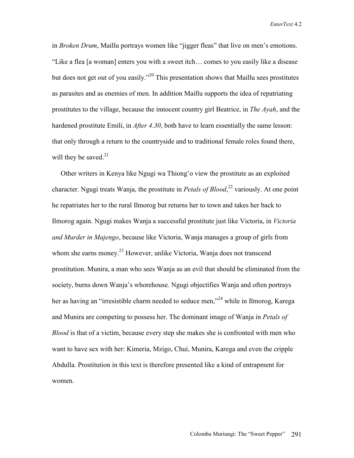in *Broken Drum*, Maillu portrays women like "jigger fleas" that live on men's emotions. "Like a flea [a woman] enters you with a sweet itch… comes to you easily like a disease but does not get out of you easily."<sup>20</sup> This presentation shows that Maillu sees prostitutes as parasites and as enemies of men. In addition Maillu supports the idea of repatriating prostitutes to the village, because the innocent country girl Beatrice, in *The Ayah*, and the hardened prostitute Emili, in *After 4.30*, both have to learn essentially the same lesson: that only through a return to the countryside and to traditional female roles found there, will they be saved. $21$ 

 Other writers in Kenya like Ngugi wa Thiong'o view the prostitute as an exploited character. Ngugi treats Wanja, the prostitute in *Petals of Blood*, 22 variously. At one point he repatriates her to the rural Ilmorog but returns her to town and takes her back to Ilmorog again. Ngugi makes Wanja a successful prostitute just like Victoria, in *Victoria and Murder in Majengo*, because like Victoria, Wanja manages a group of girls from whom she earns money.<sup>23</sup> However, unlike Victoria, Wanja does not transcend prostitution. Munira, a man who sees Wanja as an evil that should be eliminated from the society, burns down Wanja's whorehouse. Ngugi objectifies Wanja and often portrays her as having an "irresistible charm needed to seduce men,"<sup>24</sup> while in Ilmorog, Karega and Munira are competing to possess her. The dominant image of Wanja in *Petals of Blood* is that of a victim, because every step she makes she is confronted with men who want to have sex with her: Kimeria, Mzigo, Chui, Munira, Karega and even the cripple Abdulla. Prostitution in this text is therefore presented like a kind of entrapment for women.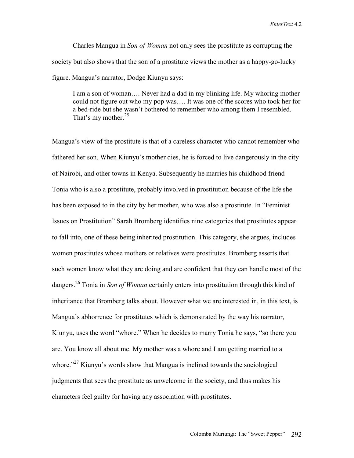Charles Mangua in *Son of Woman* not only sees the prostitute as corrupting the society but also shows that the son of a prostitute views the mother as a happy-go-lucky figure. Mangua's narrator, Dodge Kiunyu says:

I am a son of woman…. Never had a dad in my blinking life. My whoring mother could not figure out who my pop was…. It was one of the scores who took her for a bed-ride but she wasn't bothered to remember who among them I resembled. That's my mother.<sup>25</sup>

Mangua's view of the prostitute is that of a careless character who cannot remember who fathered her son. When Kiunyu's mother dies, he is forced to live dangerously in the city of Nairobi, and other towns in Kenya. Subsequently he marries his childhood friend Tonia who is also a prostitute, probably involved in prostitution because of the life she has been exposed to in the city by her mother, who was also a prostitute. In "Feminist Issues on Prostitution" Sarah Bromberg identifies nine categories that prostitutes appear to fall into, one of these being inherited prostitution. This category, she argues, includes women prostitutes whose mothers or relatives were prostitutes. Bromberg asserts that such women know what they are doing and are confident that they can handle most of the dangers.26 Tonia in *Son of Woman* certainly enters into prostitution through this kind of inheritance that Bromberg talks about. However what we are interested in, in this text, is Mangua's abhorrence for prostitutes which is demonstrated by the way his narrator, Kiunyu, uses the word "whore." When he decides to marry Tonia he says, "so there you are. You know all about me. My mother was a whore and I am getting married to a whore. $127$  Kiunyu's words show that Mangua is inclined towards the sociological judgments that sees the prostitute as unwelcome in the society, and thus makes his characters feel guilty for having any association with prostitutes.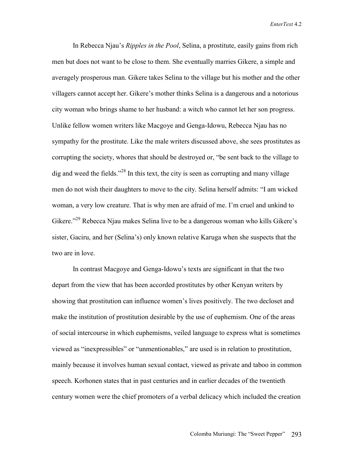In Rebecca Njau's *Ripples in the Pool*, Selina, a prostitute, easily gains from rich men but does not want to be close to them. She eventually marries Gikere, a simple and averagely prosperous man. Gikere takes Selina to the village but his mother and the other villagers cannot accept her. Gikere's mother thinks Selina is a dangerous and a notorious city woman who brings shame to her husband: a witch who cannot let her son progress. Unlike fellow women writers like Macgoye and Genga-Idowu, Rebecca Njau has no sympathy for the prostitute. Like the male writers discussed above, she sees prostitutes as corrupting the society, whores that should be destroyed or, "be sent back to the village to dig and weed the fields."<sup>28</sup> In this text, the city is seen as corrupting and many village men do not wish their daughters to move to the city. Selina herself admits: "I am wicked woman, a very low creature. That is why men are afraid of me. I'm cruel and unkind to Gikere."29 Rebecca Njau makes Selina live to be a dangerous woman who kills Gikere's sister, Gaciru, and her (Selina's) only known relative Karuga when she suspects that the two are in love.

In contrast Macgoye and Genga-Idowu's texts are significant in that the two depart from the view that has been accorded prostitutes by other Kenyan writers by showing that prostitution can influence women's lives positively. The two decloset and make the institution of prostitution desirable by the use of euphemism. One of the areas of social intercourse in which euphemisms, veiled language to express what is sometimes viewed as "inexpressibles" or "unmentionables," are used is in relation to prostitution, mainly because it involves human sexual contact, viewed as private and taboo in common speech. Korhonen states that in past centuries and in earlier decades of the twentieth century women were the chief promoters of a verbal delicacy which included the creation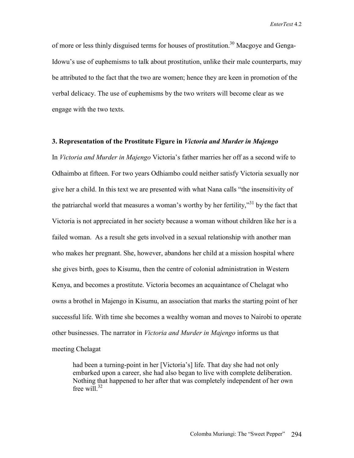of more or less thinly disguised terms for houses of prostitution.<sup>30</sup> Macgove and Genga-Idowu's use of euphemisms to talk about prostitution, unlike their male counterparts, may be attributed to the fact that the two are women; hence they are keen in promotion of the verbal delicacy. The use of euphemisms by the two writers will become clear as we engage with the two texts.

# **3. Representation of the Prostitute Figure in** *Victoria and Murder in Majengo*

In *Victoria and Murder in Majengo* Victoria's father marries her off as a second wife to Odhaimbo at fifteen. For two years Odhiambo could neither satisfy Victoria sexually nor give her a child. In this text we are presented with what Nana calls "the insensitivity of the patriarchal world that measures a woman's worthy by her fertility,"<sup>31</sup> by the fact that Victoria is not appreciated in her society because a woman without children like her is a failed woman. As a result she gets involved in a sexual relationship with another man who makes her pregnant. She, however, abandons her child at a mission hospital where she gives birth, goes to Kisumu, then the centre of colonial administration in Western Kenya, and becomes a prostitute. Victoria becomes an acquaintance of Chelagat who owns a brothel in Majengo in Kisumu, an association that marks the starting point of her successful life. With time she becomes a wealthy woman and moves to Nairobi to operate other businesses. The narrator in *Victoria and Murder in Majengo* informs us that meeting Chelagat

had been a turning-point in her [Victoria's] life. That day she had not only embarked upon a career, she had also began to live with complete deliberation. Nothing that happened to her after that was completely independent of her own free will.<sup>32</sup>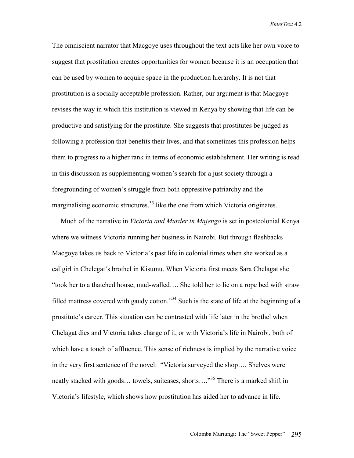The omniscient narrator that Macgoye uses throughout the text acts like her own voice to suggest that prostitution creates opportunities for women because it is an occupation that can be used by women to acquire space in the production hierarchy. It is not that prostitution is a socially acceptable profession. Rather, our argument is that Macgoye revises the way in which this institution is viewed in Kenya by showing that life can be productive and satisfying for the prostitute. She suggests that prostitutes be judged as following a profession that benefits their lives, and that sometimes this profession helps them to progress to a higher rank in terms of economic establishment. Her writing is read in this discussion as supplementing women's search for a just society through a foregrounding of women's struggle from both oppressive patriarchy and the marginalising economic structures, $^{33}$  like the one from which Victoria originates.

 Much of the narrative in *Victoria and Murder in Majengo* is set in postcolonial Kenya where we witness Victoria running her business in Nairobi. But through flashbacks Macgoye takes us back to Victoria's past life in colonial times when she worked as a callgirl in Chelegat's brothel in Kisumu. When Victoria first meets Sara Chelagat she "took her to a thatched house, mud-walled…. She told her to lie on a rope bed with straw filled mattress covered with gaudy cotton."<sup>34</sup> Such is the state of life at the beginning of a prostitute's career. This situation can be contrasted with life later in the brothel when Chelagat dies and Victoria takes charge of it, or with Victoria's life in Nairobi, both of which have a touch of affluence. This sense of richness is implied by the narrative voice in the very first sentence of the novel: "Victoria surveyed the shop…. Shelves were neatly stacked with goods… towels, suitcases, shorts…."<sup>35</sup> There is a marked shift in Victoria's lifestyle, which shows how prostitution has aided her to advance in life.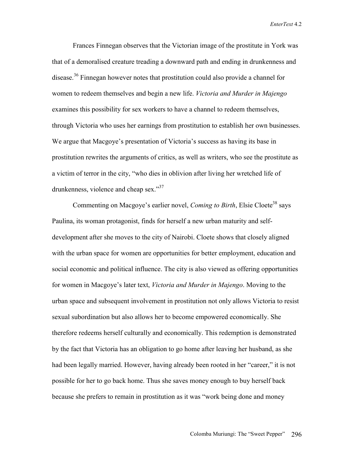Frances Finnegan observes that the Victorian image of the prostitute in York was that of a demoralised creature treading a downward path and ending in drunkenness and disease.36 Finnegan however notes that prostitution could also provide a channel for women to redeem themselves and begin a new life. *Victoria and Murder in Majengo* examines this possibility for sex workers to have a channel to redeem themselves, through Victoria who uses her earnings from prostitution to establish her own businesses. We argue that Macgoye's presentation of Victoria's success as having its base in prostitution rewrites the arguments of critics, as well as writers, who see the prostitute as a victim of terror in the city, "who dies in oblivion after living her wretched life of drunkenness, violence and cheap sex."<sup>37</sup>

Commenting on Macgoye's earlier novel, *Coming to Birth*, Elsie Cloete<sup>38</sup> says Paulina, its woman protagonist, finds for herself a new urban maturity and selfdevelopment after she moves to the city of Nairobi. Cloete shows that closely aligned with the urban space for women are opportunities for better employment, education and social economic and political influence. The city is also viewed as offering opportunities for women in Macgoye's later text, *Victoria and Murder in Majengo*. Moving to the urban space and subsequent involvement in prostitution not only allows Victoria to resist sexual subordination but also allows her to become empowered economically. She therefore redeems herself culturally and economically. This redemption is demonstrated by the fact that Victoria has an obligation to go home after leaving her husband, as she had been legally married. However, having already been rooted in her "career," it is not possible for her to go back home. Thus she saves money enough to buy herself back because she prefers to remain in prostitution as it was "work being done and money

Colomba Muriungi: The "Sweet Pepper" 296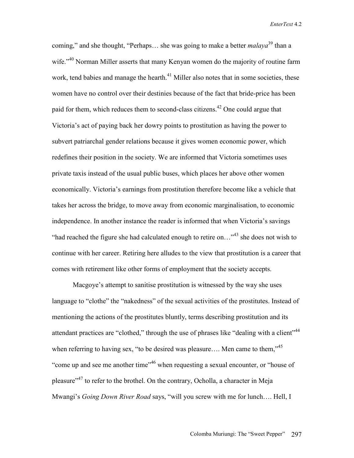coming," and she thought, "Perhaps... she was going to make a better *malaya*<sup>39</sup> than a wife."<sup>40</sup> Norman Miller asserts that many Kenyan women do the majority of routine farm work, tend babies and manage the hearth.<sup>41</sup> Miller also notes that in some societies, these women have no control over their destinies because of the fact that bride-price has been paid for them, which reduces them to second-class citizens.<sup>42</sup> One could argue that Victoria's act of paying back her dowry points to prostitution as having the power to subvert patriarchal gender relations because it gives women economic power, which redefines their position in the society. We are informed that Victoria sometimes uses private taxis instead of the usual public buses, which places her above other women economically. Victoria's earnings from prostitution therefore become like a vehicle that takes her across the bridge, to move away from economic marginalisation, to economic independence. In another instance the reader is informed that when Victoria's savings "had reached the figure she had calculated enough to retire on..."<sup>43</sup> she does not wish to continue with her career. Retiring here alludes to the view that prostitution is a career that comes with retirement like other forms of employment that the society accepts.

Macgoye's attempt to sanitise prostitution is witnessed by the way she uses language to "clothe" the "nakedness" of the sexual activities of the prostitutes. Instead of mentioning the actions of the prostitutes bluntly, terms describing prostitution and its attendant practices are "clothed," through the use of phrases like "dealing with a client"<sup>44</sup> when referring to having sex, "to be desired was pleasure.... Men came to them,"<sup>45</sup> "come up and see me another time"46 when requesting a sexual encounter, or "house of pleasure<sup> $247$ </sup> to refer to the brothel. On the contrary, Ocholla, a character in Meja Mwangi's *Going Down River Road* says, "will you screw with me for lunch…. Hell, I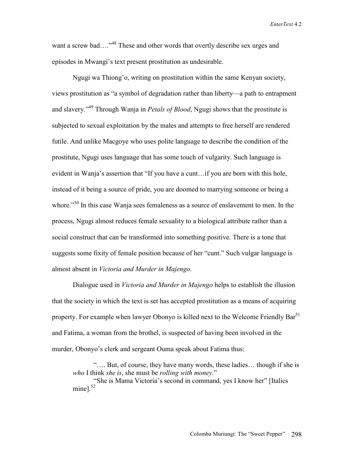want a screw bad...."<sup>48</sup> These and other words that overtly describe sex urges and episodes in Mwangi's text present prostitution as undesirable.

Ngugi wa Thiong'o, writing on prostitution within the same Kenyan society, views prostitution as "a symbol of degradation rather than liberty—a path to entrapment and slavery."49 Through Wanja in *Petals of Blood*, Ngugi shows that the prostitute is subjected to sexual exploitation by the males and attempts to free herself are rendered futile. And unlike Macgoye who uses polite language to describe the condition of the prostitute, Ngugi uses language that has some touch of vulgarity. Such language is evident in Wanja's assertion that "If you have a cunt…if you are born with this hole, instead of it being a source of pride, you are doomed to marrying someone or being a whore.<sup>"50</sup> In this case Wanja sees femaleness as a source of enslavement to men. In the process, Ngugi almost reduces female sexuality to a biological attribute rather than a social construct that can be transformed into something positive. There is a tone that suggests some fixity of female position because of her "cunt." Such vulgar language is almost absent in *Victoria and Murder in Majengo*.

Dialogue used in *Victoria and Murder in Majengo* helps to establish the illusion that the society in which the text is set has accepted prostitution as a means of acquiring property. For example when lawyer Obonyo is killed next to the Welcome Friendly Bar<sup>51</sup> and Fatima, a woman from the brothel, is suspected of having been involved in the murder, Obonyo's clerk and sergeant Ouma speak about Fatima thus:

<sup>&</sup>quot;…. But, of course, they have many words, these ladies… though if she is *who* I think *she is*, she must be *rolling with money.*"

<sup>&</sup>quot;She is Mama Victoria's second in command, yes I know her" [Italics mine]. $52$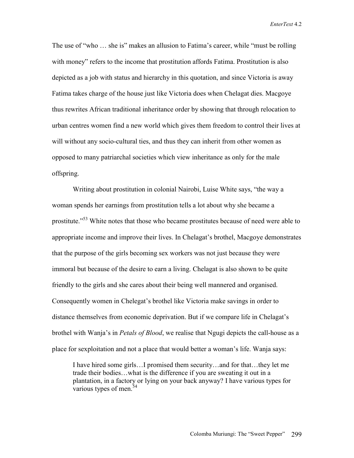The use of "who … she is" makes an allusion to Fatima's career, while "must be rolling with money" refers to the income that prostitution affords Fatima. Prostitution is also depicted as a job with status and hierarchy in this quotation, and since Victoria is away Fatima takes charge of the house just like Victoria does when Chelagat dies. Macgoye thus rewrites African traditional inheritance order by showing that through relocation to urban centres women find a new world which gives them freedom to control their lives at will without any socio-cultural ties, and thus they can inherit from other women as opposed to many patriarchal societies which view inheritance as only for the male offspring.

Writing about prostitution in colonial Nairobi, Luise White says, "the way a woman spends her earnings from prostitution tells a lot about why she became a prostitute."<sup>53</sup> White notes that those who became prostitutes because of need were able to appropriate income and improve their lives. In Chelagat's brothel, Macgoye demonstrates that the purpose of the girls becoming sex workers was not just because they were immoral but because of the desire to earn a living. Chelagat is also shown to be quite friendly to the girls and she cares about their being well mannered and organised. Consequently women in Chelegat's brothel like Victoria make savings in order to distance themselves from economic deprivation. But if we compare life in Chelagat's brothel with Wanja's in *Petals of Blood*, we realise that Ngugi depicts the call-house as a place for sexploitation and not a place that would better a woman's life. Wanja says:

I have hired some girls…I promised them security…and for that…they let me trade their bodies…what is the difference if you are sweating it out in a plantation, in a factory or lying on your back anyway? I have various types for various types of men.<sup>54</sup>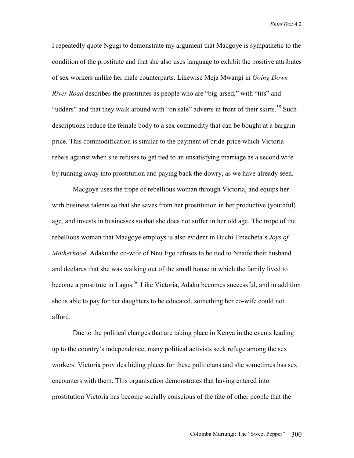I repeatedly quote Ngugi to demonstrate my argument that Macgoye is sympathetic to the condition of the prostitute and that she also uses language to exhibit the positive attributes of sex workers unlike her male counterparts. Likewise Meja Mwangi in *Going Down River Road* describes the prostitutes as people who are "big-arsed," with "tits" and "udders" and that they walk around with "on sale" adverts in front of their skirts.<sup>55</sup> Such descriptions reduce the female body to a sex commodity that can be bought at a bargain price. This commodification is similar to the payment of bride-price which Victoria rebels against when she refuses to get tied to an unsatisfying marriage as a second wife by running away into prostitution and paying back the dowry, as we have already seen.

Macgoye uses the trope of rebellious woman through Victoria, and equips her with business talents so that she saves from her prostitution in her productive (youthful) age, and invests in businesses so that she does not suffer in her old age. The trope of the rebellious woman that Macgoye employs is also evident in Buchi Emecheta's *Joys of Motherhood*. Adaku the co-wife of Nnu Ego refuses to be tied to Nnaife their husband and declares that she was walking out of the small house in which the family lived to become a prostitute in Lagos.<sup>56</sup> Like Victoria, Adaku becomes successful, and in addition she is able to pay for her daughters to be educated, something her co-wife could not afford.

Due to the political changes that are taking place in Kenya in the events leading up to the country's independence, many political activists seek refuge among the sex workers. Victoria provides hiding places for these politicians and she sometimes has sex encounters with them. This organisation demonstrates that having entered into prostitution Victoria has become socially conscious of the fate of other people that the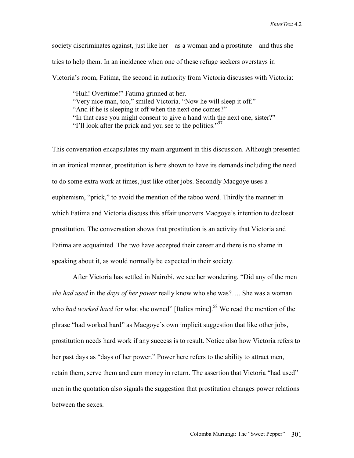society discriminates against, just like her—as a woman and a prostitute—and thus she tries to help them. In an incidence when one of these refuge seekers overstays in Victoria's room, Fatima, the second in authority from Victoria discusses with Victoria:

"Huh! Overtime!" Fatima grinned at her. "Very nice man, too," smiled Victoria. "Now he will sleep it off." "And if he is sleeping it off when the next one comes?" "In that case you might consent to give a hand with the next one, sister?" "I'll look after the prick and you see to the politics."<sup>57</sup>

This conversation encapsulates my main argument in this discussion. Although presented in an ironical manner, prostitution is here shown to have its demands including the need to do some extra work at times, just like other jobs. Secondly Macgoye uses a euphemism, "prick," to avoid the mention of the taboo word. Thirdly the manner in which Fatima and Victoria discuss this affair uncovers Macgoye's intention to decloset prostitution. The conversation shows that prostitution is an activity that Victoria and Fatima are acquainted. The two have accepted their career and there is no shame in speaking about it, as would normally be expected in their society.

After Victoria has settled in Nairobi, we see her wondering, "Did any of the men *she had used* in the *days of her power* really know who she was?…. She was a woman who *had worked hard* for what she owned" [Italics mine].<sup>58</sup> We read the mention of the phrase "had worked hard" as Macgoye's own implicit suggestion that like other jobs, prostitution needs hard work if any success is to result. Notice also how Victoria refers to her past days as "days of her power." Power here refers to the ability to attract men, retain them, serve them and earn money in return. The assertion that Victoria "had used" men in the quotation also signals the suggestion that prostitution changes power relations between the sexes.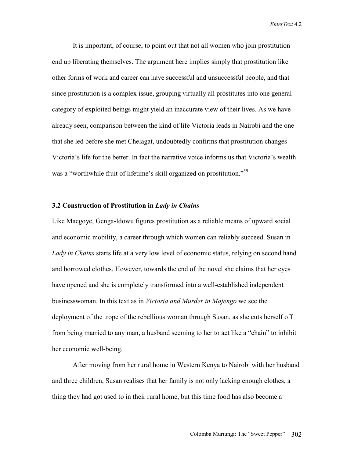It is important, of course, to point out that not all women who join prostitution end up liberating themselves. The argument here implies simply that prostitution like other forms of work and career can have successful and unsuccessful people, and that since prostitution is a complex issue, grouping virtually all prostitutes into one general category of exploited beings might yield an inaccurate view of their lives. As we have already seen, comparison between the kind of life Victoria leads in Nairobi and the one that she led before she met Chelagat, undoubtedly confirms that prostitution changes Victoria's life for the better. In fact the narrative voice informs us that Victoria's wealth was a "worthwhile fruit of lifetime's skill organized on prostitution."<sup>59</sup>

## **3.2 Construction of Prostitution in** *Lady in Chains*

Like Macgoye, Genga-Idowu figures prostitution as a reliable means of upward social and economic mobility, a career through which women can reliably succeed. Susan in *Lady in Chains* starts life at a very low level of economic status, relying on second hand and borrowed clothes. However, towards the end of the novel she claims that her eyes have opened and she is completely transformed into a well-established independent businesswoman. In this text as in *Victoria and Murder in Majengo* we see the deployment of the trope of the rebellious woman through Susan, as she cuts herself off from being married to any man, a husband seeming to her to act like a "chain" to inhibit her economic well-being.

After moving from her rural home in Western Kenya to Nairobi with her husband and three children, Susan realises that her family is not only lacking enough clothes, a thing they had got used to in their rural home, but this time food has also become a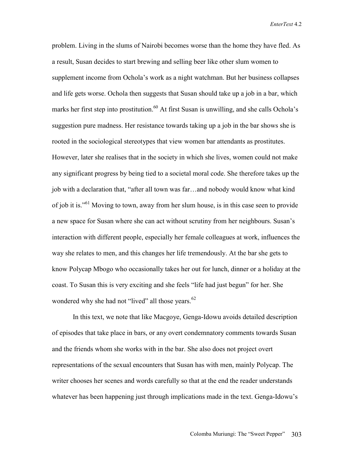problem. Living in the slums of Nairobi becomes worse than the home they have fled. As a result, Susan decides to start brewing and selling beer like other slum women to supplement income from Ochola's work as a night watchman. But her business collapses and life gets worse. Ochola then suggests that Susan should take up a job in a bar, which marks her first step into prostitution.<sup>60</sup> At first Susan is unwilling, and she calls Ochola's suggestion pure madness. Her resistance towards taking up a job in the bar shows she is rooted in the sociological stereotypes that view women bar attendants as prostitutes. However, later she realises that in the society in which she lives, women could not make any significant progress by being tied to a societal moral code. She therefore takes up the job with a declaration that, "after all town was far…and nobody would know what kind of job it is."61 Moving to town, away from her slum house, is in this case seen to provide a new space for Susan where she can act without scrutiny from her neighbours. Susan's interaction with different people, especially her female colleagues at work, influences the way she relates to men, and this changes her life tremendously. At the bar she gets to know Polycap Mbogo who occasionally takes her out for lunch, dinner or a holiday at the coast. To Susan this is very exciting and she feels "life had just begun" for her. She wondered why she had not "lived" all those years. $62$ 

In this text, we note that like Macgoye, Genga-Idowu avoids detailed description of episodes that take place in bars, or any overt condemnatory comments towards Susan and the friends whom she works with in the bar. She also does not project overt representations of the sexual encounters that Susan has with men, mainly Polycap. The writer chooses her scenes and words carefully so that at the end the reader understands whatever has been happening just through implications made in the text. Genga-Idowu's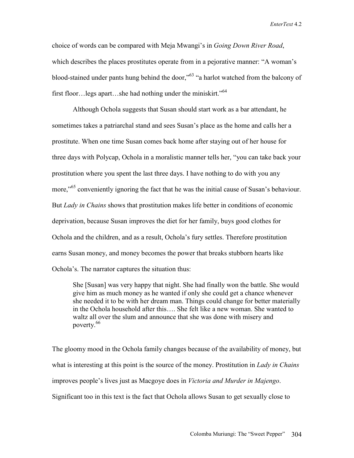choice of words can be compared with Meja Mwangi's in *Going Down River Road*, which describes the places prostitutes operate from in a pejorative manner: "A woman's blood-stained under pants hung behind the door,"<sup>63</sup> "a harlot watched from the balcony of first floor…legs apart…she had nothing under the miniskirt."<sup>64</sup>

Although Ochola suggests that Susan should start work as a bar attendant, he sometimes takes a patriarchal stand and sees Susan's place as the home and calls her a prostitute. When one time Susan comes back home after staying out of her house for three days with Polycap, Ochola in a moralistic manner tells her, "you can take back your prostitution where you spent the last three days. I have nothing to do with you any more,"<sup>65</sup> conveniently ignoring the fact that he was the initial cause of Susan's behaviour. But *Lady in Chains* shows that prostitution makes life better in conditions of economic deprivation, because Susan improves the diet for her family, buys good clothes for Ochola and the children, and as a result, Ochola's fury settles. Therefore prostitution earns Susan money, and money becomes the power that breaks stubborn hearts like Ochola's. The narrator captures the situation thus:

She [Susan] was very happy that night. She had finally won the battle. She would give him as much money as he wanted if only she could get a chance whenever she needed it to be with her dream man. Things could change for better materially in the Ochola household after this…. She felt like a new woman. She wanted to waltz all over the slum and announce that she was done with misery and poverty.66

The gloomy mood in the Ochola family changes because of the availability of money, but what is interesting at this point is the source of the money. Prostitution in *Lady in Chains* improves people's lives just as Macgoye does in *Victoria and Murder in Majengo*. Significant too in this text is the fact that Ochola allows Susan to get sexually close to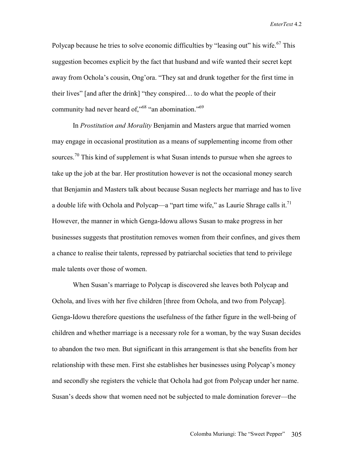Polycap because he tries to solve economic difficulties by "leasing out" his wife.<sup>67</sup> This suggestion becomes explicit by the fact that husband and wife wanted their secret kept away from Ochola's cousin, Ong'ora. "They sat and drunk together for the first time in their lives" [and after the drink] "they conspired… to do what the people of their community had never heard of,<sup>"68</sup> "an abomination."<sup>69</sup>

In *Prostitution and Morality* Benjamin and Masters argue that married women may engage in occasional prostitution as a means of supplementing income from other sources.<sup>70</sup> This kind of supplement is what Susan intends to pursue when she agrees to take up the job at the bar. Her prostitution however is not the occasional money search that Benjamin and Masters talk about because Susan neglects her marriage and has to live a double life with Ochola and Polycap—a "part time wife," as Laurie Shrage calls it.<sup>71</sup> However, the manner in which Genga-Idowu allows Susan to make progress in her businesses suggests that prostitution removes women from their confines, and gives them a chance to realise their talents, repressed by patriarchal societies that tend to privilege male talents over those of women.

When Susan's marriage to Polycap is discovered she leaves both Polycap and Ochola, and lives with her five children [three from Ochola, and two from Polycap]. Genga-Idowu therefore questions the usefulness of the father figure in the well-being of children and whether marriage is a necessary role for a woman, by the way Susan decides to abandon the two men. But significant in this arrangement is that she benefits from her relationship with these men. First she establishes her businesses using Polycap's money and secondly she registers the vehicle that Ochola had got from Polycap under her name. Susan's deeds show that women need not be subjected to male domination forever—the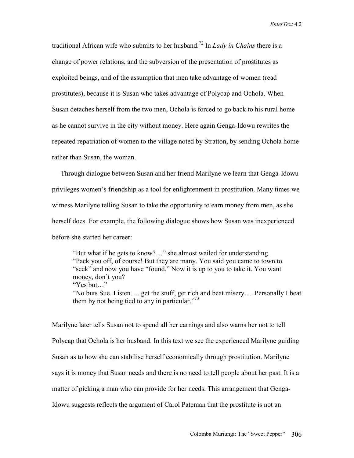traditional African wife who submits to her husband.72 In *Lady in Chains* there is a change of power relations, and the subversion of the presentation of prostitutes as exploited beings, and of the assumption that men take advantage of women (read prostitutes), because it is Susan who takes advantage of Polycap and Ochola. When Susan detaches herself from the two men, Ochola is forced to go back to his rural home as he cannot survive in the city without money. Here again Genga-Idowu rewrites the repeated repatriation of women to the village noted by Stratton, by sending Ochola home rather than Susan, the woman.

 Through dialogue between Susan and her friend Marilyne we learn that Genga-Idowu privileges women's friendship as a tool for enlightenment in prostitution. Many times we witness Marilyne telling Susan to take the opportunity to earn money from men, as she herself does. For example, the following dialogue shows how Susan was inexperienced before she started her career:

"But what if he gets to know?…" she almost wailed for understanding. "Pack you off, of course! But they are many. You said you came to town to "seek" and now you have "found." Now it is up to you to take it. You want money, don't you? "Yes but…" "No buts Sue. Listen…. get the stuff, get rich and beat misery…. Personally I beat them by not being tied to any in particular."<sup>73</sup>

Marilyne later tells Susan not to spend all her earnings and also warns her not to tell Polycap that Ochola is her husband. In this text we see the experienced Marilyne guiding Susan as to how she can stabilise herself economically through prostitution. Marilyne says it is money that Susan needs and there is no need to tell people about her past. It is a matter of picking a man who can provide for her needs. This arrangement that Genga-Idowu suggests reflects the argument of Carol Pateman that the prostitute is not an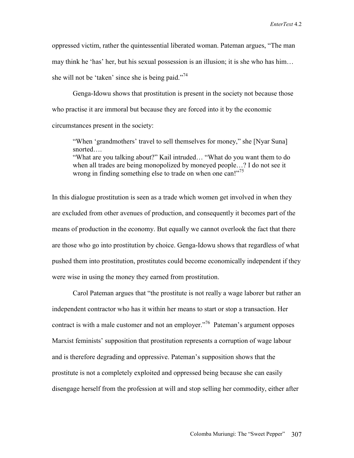oppressed victim, rather the quintessential liberated woman. Pateman argues, "The man may think he 'has' her, but his sexual possession is an illusion; it is she who has him… she will not be 'taken' since she is being paid."<sup>74</sup>

Genga-Idowu shows that prostitution is present in the society not because those who practise it are immoral but because they are forced into it by the economic circumstances present in the society:

"When 'grandmothers' travel to sell themselves for money," she [Nyar Suna] snorted….

"What are you talking about?" Kail intruded… "What do you want them to do when all trades are being monopolized by moneyed people…? I do not see it wrong in finding something else to trade on when one can!"<sup>75</sup>

In this dialogue prostitution is seen as a trade which women get involved in when they are excluded from other avenues of production, and consequently it becomes part of the means of production in the economy. But equally we cannot overlook the fact that there are those who go into prostitution by choice. Genga-Idowu shows that regardless of what pushed them into prostitution, prostitutes could become economically independent if they were wise in using the money they earned from prostitution.

Carol Pateman argues that "the prostitute is not really a wage laborer but rather an independent contractor who has it within her means to start or stop a transaction. Her contract is with a male customer and not an employer.<sup>"76</sup> Pateman's argument opposes Marxist feminists' supposition that prostitution represents a corruption of wage labour and is therefore degrading and oppressive. Pateman's supposition shows that the prostitute is not a completely exploited and oppressed being because she can easily disengage herself from the profession at will and stop selling her commodity, either after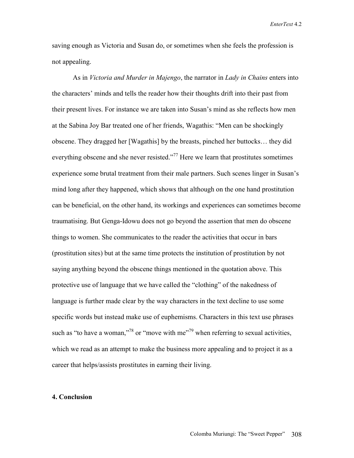saving enough as Victoria and Susan do, or sometimes when she feels the profession is not appealing.

As in *Victoria and Murder in Majengo*, the narrator in *Lady in Chains* enters into the characters' minds and tells the reader how their thoughts drift into their past from their present lives. For instance we are taken into Susan's mind as she reflects how men at the Sabina Joy Bar treated one of her friends, Wagathis: "Men can be shockingly obscene. They dragged her [Wagathis] by the breasts, pinched her buttocks… they did everything obscene and she never resisted."<sup>77</sup> Here we learn that prostitutes sometimes experience some brutal treatment from their male partners. Such scenes linger in Susan's mind long after they happened, which shows that although on the one hand prostitution can be beneficial, on the other hand, its workings and experiences can sometimes become traumatising. But Genga-Idowu does not go beyond the assertion that men do obscene things to women. She communicates to the reader the activities that occur in bars (prostitution sites) but at the same time protects the institution of prostitution by not saying anything beyond the obscene things mentioned in the quotation above. This protective use of language that we have called the "clothing" of the nakedness of language is further made clear by the way characters in the text decline to use some specific words but instead make use of euphemisms. Characters in this text use phrases such as "to have a woman,"<sup>78</sup> or "move with me"<sup>79</sup> when referring to sexual activities, which we read as an attempt to make the business more appealing and to project it as a career that helps/assists prostitutes in earning their living.

## **4. Conclusion**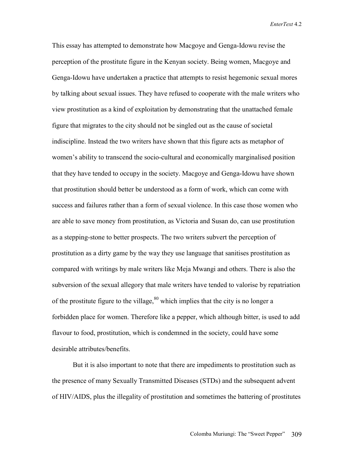This essay has attempted to demonstrate how Macgoye and Genga-Idowu revise the perception of the prostitute figure in the Kenyan society. Being women, Macgoye and Genga-Idowu have undertaken a practice that attempts to resist hegemonic sexual mores by talking about sexual issues. They have refused to cooperate with the male writers who view prostitution as a kind of exploitation by demonstrating that the unattached female figure that migrates to the city should not be singled out as the cause of societal indiscipline. Instead the two writers have shown that this figure acts as metaphor of women's ability to transcend the socio-cultural and economically marginalised position that they have tended to occupy in the society. Macgoye and Genga-Idowu have shown that prostitution should better be understood as a form of work, which can come with success and failures rather than a form of sexual violence. In this case those women who are able to save money from prostitution, as Victoria and Susan do, can use prostitution as a stepping-stone to better prospects. The two writers subvert the perception of prostitution as a dirty game by the way they use language that sanitises prostitution as compared with writings by male writers like Meja Mwangi and others. There is also the subversion of the sexual allegory that male writers have tended to valorise by repatriation of the prostitute figure to the village,  $80$  which implies that the city is no longer a forbidden place for women. Therefore like a pepper, which although bitter, is used to add flavour to food, prostitution, which is condemned in the society, could have some desirable attributes/benefits.

But it is also important to note that there are impediments to prostitution such as the presence of many Sexually Transmitted Diseases (STDs) and the subsequent advent of HIV/AIDS, plus the illegality of prostitution and sometimes the battering of prostitutes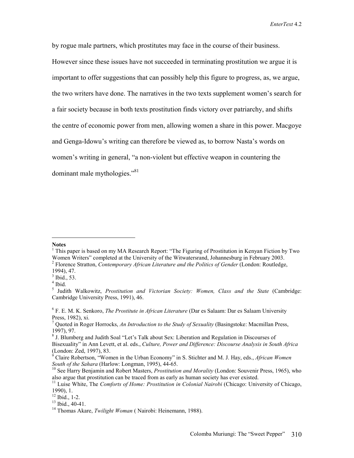by rogue male partners, which prostitutes may face in the course of their business. However since these issues have not succeeded in terminating prostitution we argue it is important to offer suggestions that can possibly help this figure to progress, as, we argue, the two writers have done. The narratives in the two texts supplement women's search for a fair society because in both texts prostitution finds victory over patriarchy, and shifts the centre of economic power from men, allowing women a share in this power. Macgoye and Genga-Idowu's writing can therefore be viewed as, to borrow Nasta's words on women's writing in general, "a non-violent but effective weapon in countering the dominant male mythologies."<sup>81</sup>

#### **Notes**

 $\overline{a}$ 

<sup>&</sup>lt;sup>1</sup> This paper is based on my MA Research Report: "The Figuring of Prostitution in Kenyan Fiction by Two Women Writers" completed at the University of the Witwatersrand, Johannesburg in February 2003. 2 Florence Stratton, *Contemporary African Literature and the Politics of Gender* (London: Routledge,

<sup>1994), 47.</sup> 

 $<sup>3</sup>$  Ibid., 53.</sup>

 $4$  Ibid.

<sup>5</sup> Judith Walkowitz, *Prostitution and Victorian Society: Women, Class and the State* (Cambridge: Cambridge University Press, 1991), 46.

<sup>6</sup> F. E. M. K. Senkoro, *The Prostitute in African Literature* (Dar es Salaam: Dar es Salaam University Press, 1982), xi.

<sup>7</sup> Quoted in Roger Horrocks, *An Introduction to the Study of Sexuality* (Basingstoke: Macmillan Press, 1997), 97.

<sup>&</sup>lt;sup>8</sup> J. Blumberg and Judith Soal "Let's Talk about Sex: Liberation and Regulation in Discourses of Bisexuality" in Ann Levett, et al. eds., *Culture, Power and Difference: Discourse Analysis in South Africa* (London: Zed, 1997), 83.

<sup>9</sup> Claire Robertson, "Women in the Urban Economy" in S. Stichter and M. J. Hay, eds., *African Women South of the Sahara* (Harlow: Longman, 1995), 44-65.<br><sup>10</sup> See Harry Benjamin and Robert Masters, *Prostitution and Morality* (London: Souvenir Press, 1965), who

also argue that prostitution can be traced from as early as human society has ever existed.

<sup>11</sup> Luise White, The *Comforts of Home: Prostitution in Colonial Nairobi* (Chicago: University of Chicago, 1990), 1.

<sup>12</sup> Ibid., 1-2.

 $13$  Ibid., 40-41.

<sup>&</sup>lt;sup>14</sup> Thomas Akare, *Twilight Woman* ( Nairobi: Heinemann, 1988).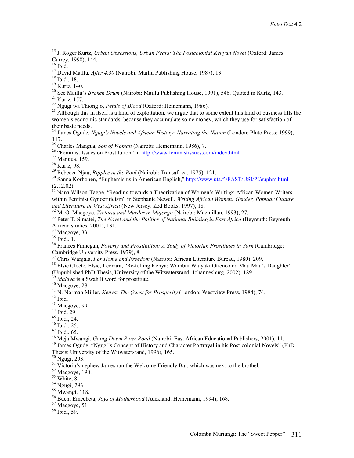15 J. Roger Kurtz, *Urban Obsessions, Urban Fears: The Postcolonial Kenyan Novel* (Oxford: James Currey, 1998), 144.

<sup>17</sup> David Maillu, *After 4.30* (Nairobi: Maillu Publishing House, 1987), 13.<br><sup>18</sup> Ibid., 18.

19 Kurtz, 140.

<sup>20</sup> See Maillu's *Broken Drum* (Nairobi: Maillu Publishing House, 1991), 546. Quoted in Kurtz, 143.<br><sup>21</sup> Kurtz, 157.<br><sup>22</sup> Ngugi wa Thiong'o, *Petals of Blood* (Oxford: Heinemann, 1986).

<sup>23</sup> Although this in itself is a kind of exploitation, we argue that to some extent this kind of business lifts the women's economic standards, because they accumulate some money, which they use for satisfaction of their basic needs.

24 James Ogude, *Ngugi's Novels and African History: Narrating the Nation* **(**London: Pluto Press: 1999), 117.<br><sup>25</sup> Charles Mangua, Son of Woman (Nairobi: Heinemann, 1986), 7.

<sup>26</sup> "Feminist Issues on Prostitution" in <u>http://www.feministissues.com/index.html</u> <sup>27</sup> Mangua, 159.

<sup>28</sup> Kurtz, 98.<br><sup>29</sup> Rebecca Njau, *Ripples in the Pool* (Nairobi: Transafrica, 1975), 121.

<sup>30</sup> Sanna Korhonen, "Euphemisms in American English," http://www.uta.fi/FAST/USI/PI/euphm.html  $(2.12.02)$ .

 $31$  Nana Wilson-Tagoe, "Reading towards a Theorization of Women's Writing: African Women Writers within Feminist Gynocriticism" in Stephanie Newell, *Writing African Women: Gender, Popular Culture and Literature in West Africa* (New Jersey: Zed Books, 1997), 18.

 $\frac{32}{32}$  M. O. Macgoye, *Victoria and Murder in Majengo* (Nairobi: Macmillan, 1993), 27.<br> $\frac{32}{32}$  Peter T. Simatei, *The Novel and the Politics of National Building in East Africa* (Bevreuth: Bevreuth African studies, 2001), 131.

 $34$  Macgoye, 33.

 $35$  Ibid., 1.

36 Frances Finnegan, *Poverty and Prostitution: A Study of Victorian Prostitutes in York* (Cambridge: Cambridge University Press, 1979), 8.<br><sup>37</sup> Chris Wanjala, *For Home and Freedom* (Nairobi: African Literature Bureau, 1980), 209.

<sup>38</sup> Elsie Cloete, Elsie, Leonara, "Re-telling Kenya: Wambui Waiyaki Otieno and Mau Mau's Daughter"

(Unpublished PhD Thesis, University of the Witwatersrand, Johannesburg, 2002), 189.

<sup>39</sup> *Malaya* is a Swahili word for prostitute.<br><sup>40</sup> Macgove, 28.

<sup>41</sup> N. Norman Miller, *Kenya: The Quest for Prosperity* (London: Westview Press, 1984), 74.<br><sup>42</sup> Ibid

43 Macgoye, 99.

 $44$  Ibid, 29

 $45$  Ibid., 24.

46 Ibid., 25.

<sup>47</sup> Ibid., 65.<br><sup>48</sup> Meja Mwangi, *Going Down River Road* (Nairobi: East African Educational Publishers, 2001), 11.

<sup>49</sup> James Ogude, "Ngugi's Concept of History and Character Portrayal in his Post-colonial Novels" (PhD

Thesis: University of the Witwatersrand, 1996), 165.

50 Ngugi, 293.

<sup>51</sup> Victoria's nephew James ran the Welcome Friendly Bar, which was next to the brothel.

 $52$  Macgoye, 190.

53 White, 8.

54 Ngugi, 293.

 $55$  Mwangi, 118.

56 Buchi Emecheta, *Joys of Motherhood* (Auckland: Heinemann, 1994), 168. 57 Macgoye, 51.

 $58$  Ibid.,  $59.$ 

 $16$  Ibid.